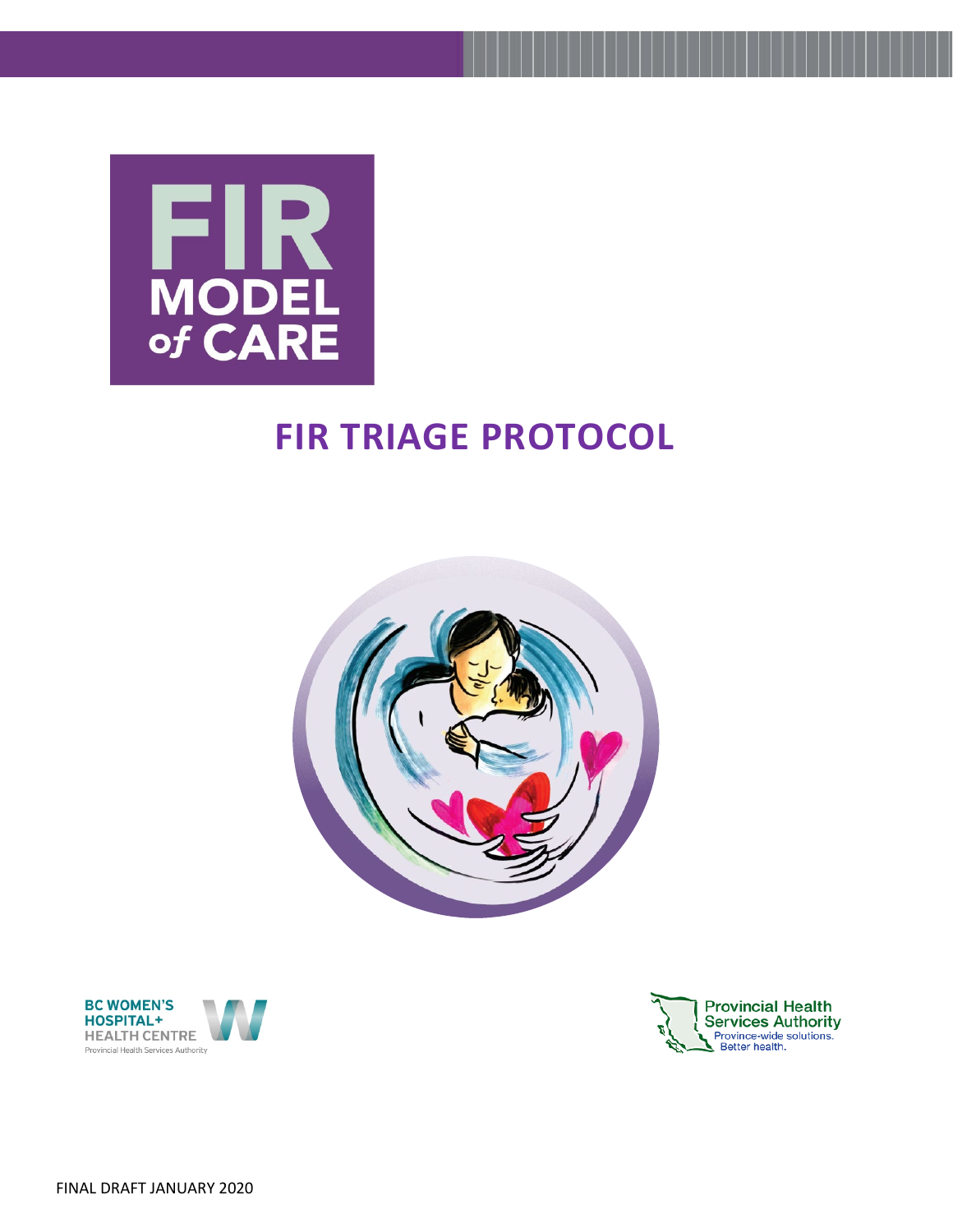

# **FIR TRIAGE PROTOCOL**





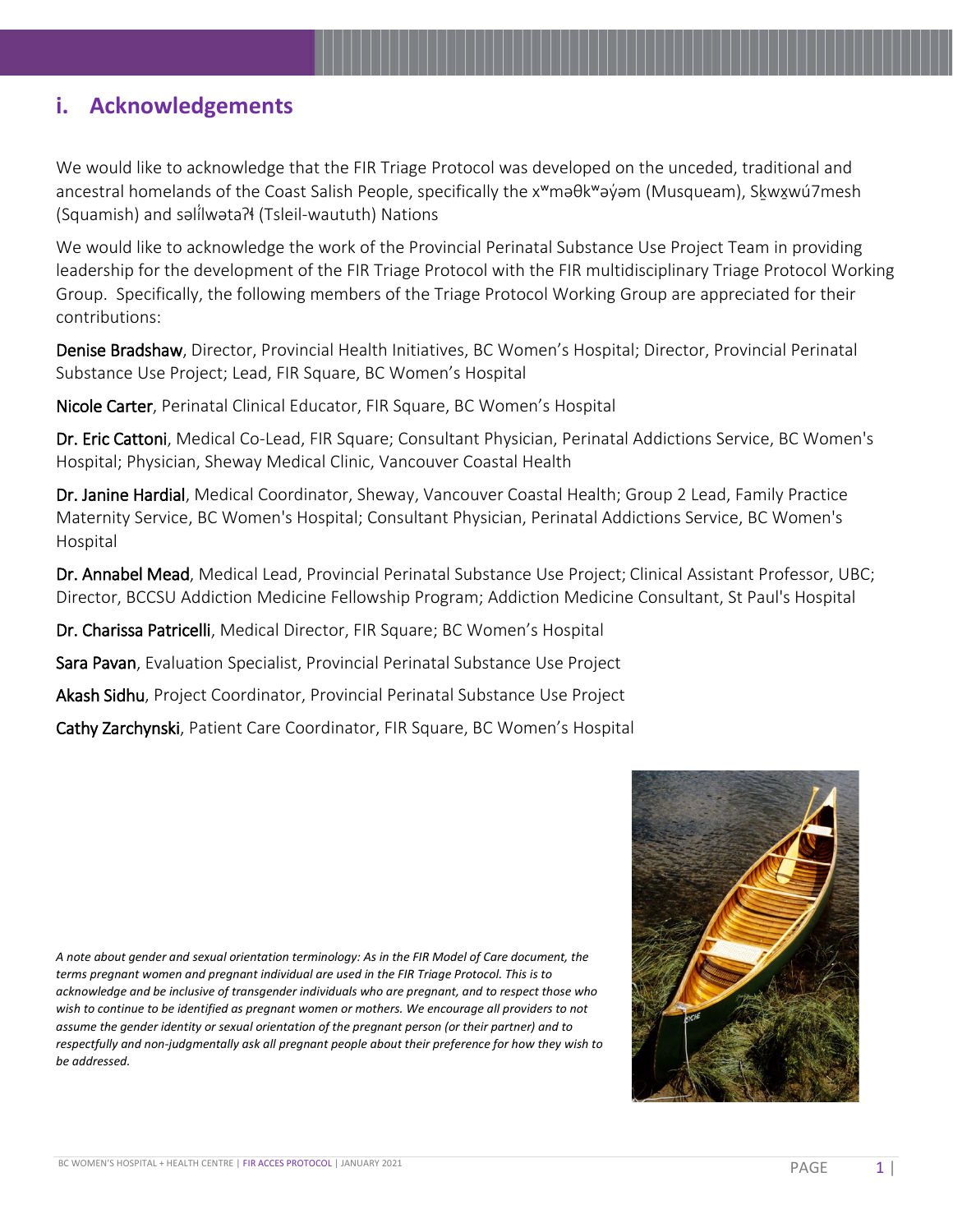### **i. Acknowledgements**

We would like to acknowledge that the FIR Triage Protocol was developed on the unceded, traditional and ancestral homelands of the Coast Salish People, specifically the x<sup>w</sup>məθk<sup>w</sup>əýəm (Musqueam), Skwxwú7mesh (Squamish) and səlilwəta?ł (Tsleil-waututh) Nations

We would like to acknowledge the work of the Provincial Perinatal Substance Use Project Team in providing leadership for the development of the FIR Triage Protocol with the FIR multidisciplinary Triage Protocol Working Group. Specifically, the following members of the Triage Protocol Working Group are appreciated for their contributions:

Denise Bradshaw, Director, Provincial Health Initiatives, BC Women's Hospital; Director, Provincial Perinatal Substance Use Project; Lead, FIR Square, BC Women's Hospital

Nicole Carter, Perinatal Clinical Educator, FIR Square, BC Women's Hospital

Dr. Eric Cattoni, Medical Co-Lead, FIR Square; Consultant Physician, Perinatal Addictions Service, BC Women's Hospital; Physician, Sheway Medical Clinic, Vancouver Coastal Health

Dr. Janine Hardial, Medical Coordinator, Sheway, Vancouver Coastal Health; Group 2 Lead, Family Practice Maternity Service, BC Women's Hospital; Consultant Physician, Perinatal Addictions Service, BC Women's Hospital

Dr. Annabel Mead, Medical Lead, Provincial Perinatal Substance Use Project; Clinical Assistant Professor, UBC; Director, BCCSU Addiction Medicine Fellowship Program; Addiction Medicine Consultant, St Paul's Hospital

Dr. Charissa Patricelli, Medical Director, FIR Square; BC Women's Hospital

Sara Pavan, Evaluation Specialist, Provincial Perinatal Substance Use Project

Akash Sidhu, Project Coordinator, Provincial Perinatal Substance Use Project

Cathy Zarchynski, Patient Care Coordinator, FIR Square, BC Women's Hospital

*A note about gender and sexual orientation terminology: As in the FIR Model of Care document, the terms pregnant women and pregnant individual are used in the FIR Triage Protocol. This is to acknowledge and be inclusive of transgender individuals who are pregnant, and to respect those who wish to continue to be identified as pregnant women or mothers. We encourage all providers to not assume the gender identity or sexual orientation of the pregnant person (or their partner) and to respectfully and non-judgmentally ask all pregnant people about their preference for how they wish to be addressed.*

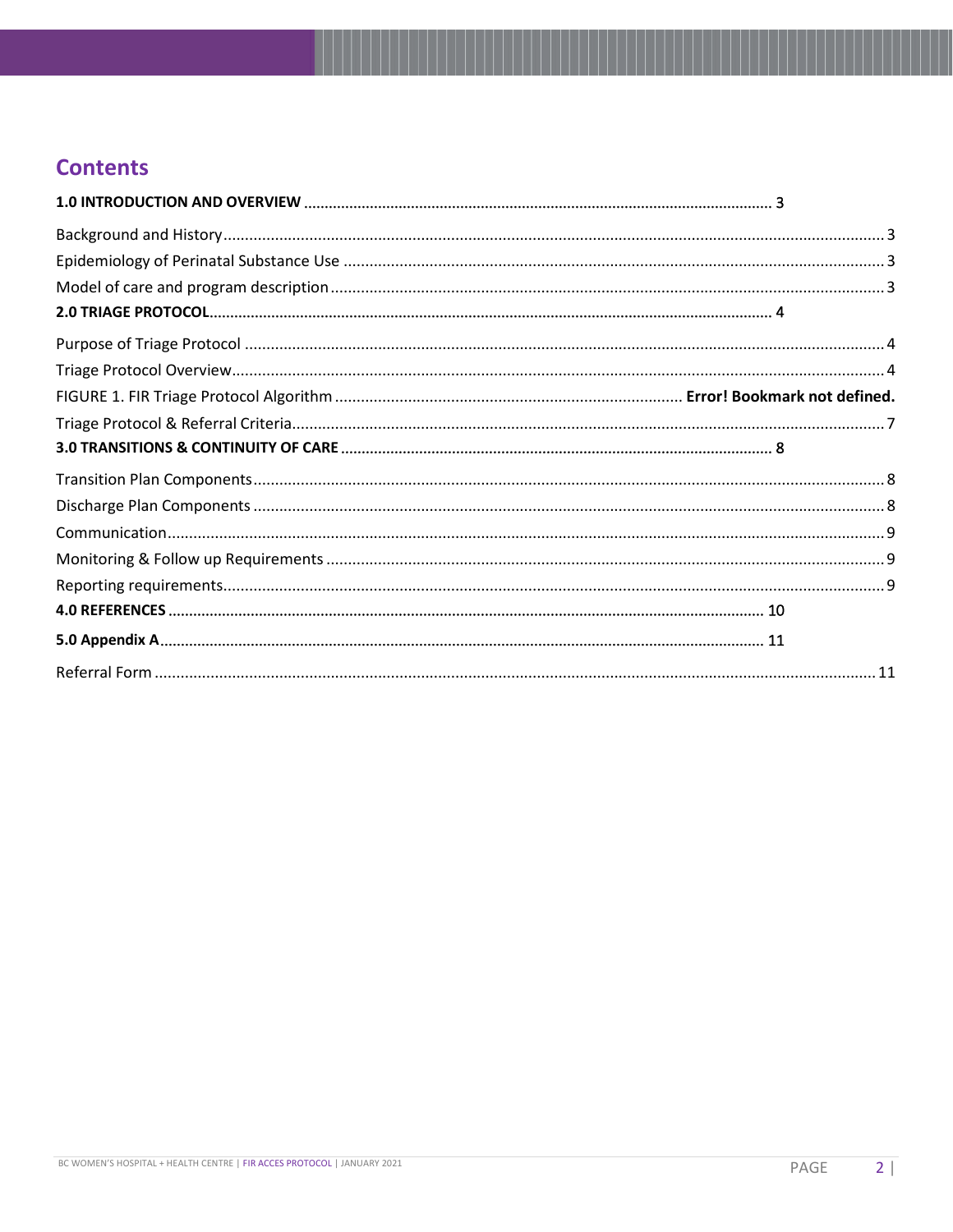# **Contents**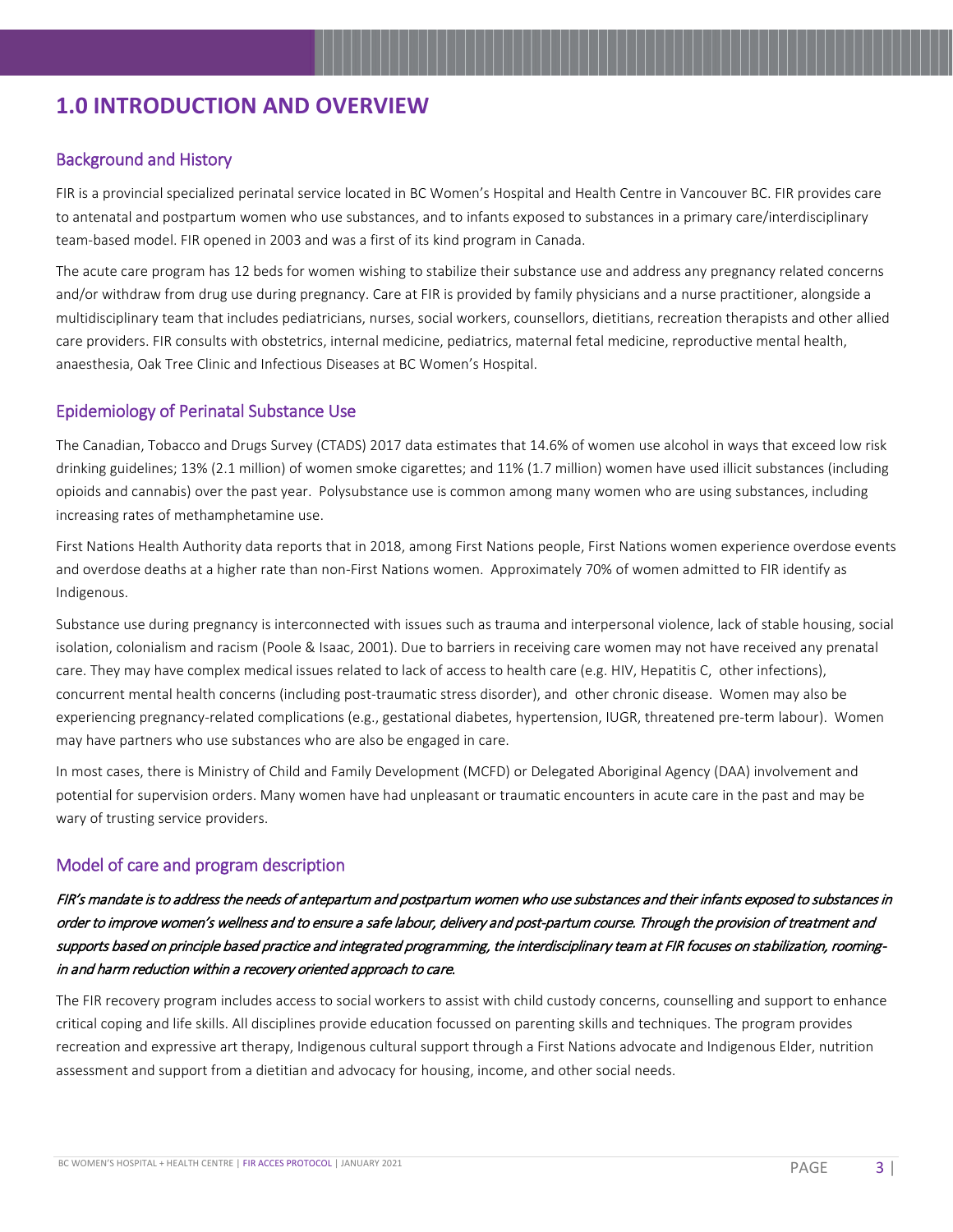# <span id="page-3-0"></span>**1.0 INTRODUCTION AND OVERVIEW**

#### <span id="page-3-1"></span>Background and History

FIR is a provincial specialized perinatal service located in BC Women's Hospital and Health Centre in Vancouver BC. FIR provides care to antenatal and postpartum women who use substances, and to infants exposed to substances in a primary care/interdisciplinary team-based model. FIR opened in 2003 and was a first of its kind program in Canada.

The acute care program has 12 beds for women wishing to stabilize their substance use and address any pregnancy related concerns and/or withdraw from drug use during pregnancy. Care at FIR is provided by family physicians and a nurse practitioner, alongside a multidisciplinary team that includes pediatricians, nurses, social workers, counsellors, dietitians, recreation therapists and other allied care providers. FIR consults with obstetrics, internal medicine, pediatrics, maternal fetal medicine, reproductive mental health, anaesthesia, Oak Tree Clinic and Infectious Diseases at BC Women's Hospital.

#### <span id="page-3-2"></span>Epidemiology of Perinatal Substance Use

The Canadian, Tobacco and Drugs Survey (CTADS) 2017 data estimates that 14.6% of women use alcohol in ways that exceed low risk drinking guidelines; 13% (2.1 million) of women smoke cigarettes; and 11% (1.7 million) women have used illicit substances (including opioids and cannabis) over the past year. Polysubstance use is common among many women who are using substances, including increasing rates of methamphetamine use.

First Nations Health Authority data reports that in 2018, among First Nations people, First Nations women experience overdose events and overdose deaths at a higher rate than non-First Nations women. Approximately 70% of women admitted to FIR identify as Indigenous.

Substance use during pregnancy is interconnected with issues such as trauma and interpersonal violence, lack of stable housing, social isolation, colonialism and racism (Poole & Isaac, 2001). Due to barriers in receiving care women may not have received any prenatal care. They may have complex medical issues related to lack of access to health care (e.g. HIV, Hepatitis C, other infections), concurrent mental health concerns (including post-traumatic stress disorder), and other chronic disease. Women may also be experiencing pregnancy-related complications (e.g., gestational diabetes, hypertension, IUGR, threatened pre-term labour). Women may have partners who use substances who are also be engaged in care.

In most cases, there is Ministry of Child and Family Development (MCFD) or Delegated Aboriginal Agency (DAA) involvement and potential for supervision orders. Many women have had unpleasant or traumatic encounters in acute care in the past and may be wary of trusting service providers.

#### <span id="page-3-3"></span>Model of care and program description

#### FIR's mandate is to address the needs of antepartum and postpartum women who use substances and their infants exposed to substances in order to improve women's wellness and to ensure a safe labour, delivery and post-partum course. Through the provision of treatment and supports based on principle based practice and integrated programming, the interdisciplinary team at FIR focuses on stabilization, roomingin and harm reduction within a recovery oriented approach to care.

The FIR recovery program includes access to social workers to assist with child custody concerns, counselling and support to enhance critical coping and life skills. All disciplines provide education focussed on parenting skills and techniques. The program provides recreation and expressive art therapy, Indigenous cultural support through a First Nations advocate and Indigenous Elder, nutrition assessment and support from a dietitian and advocacy for housing, income, and other social needs.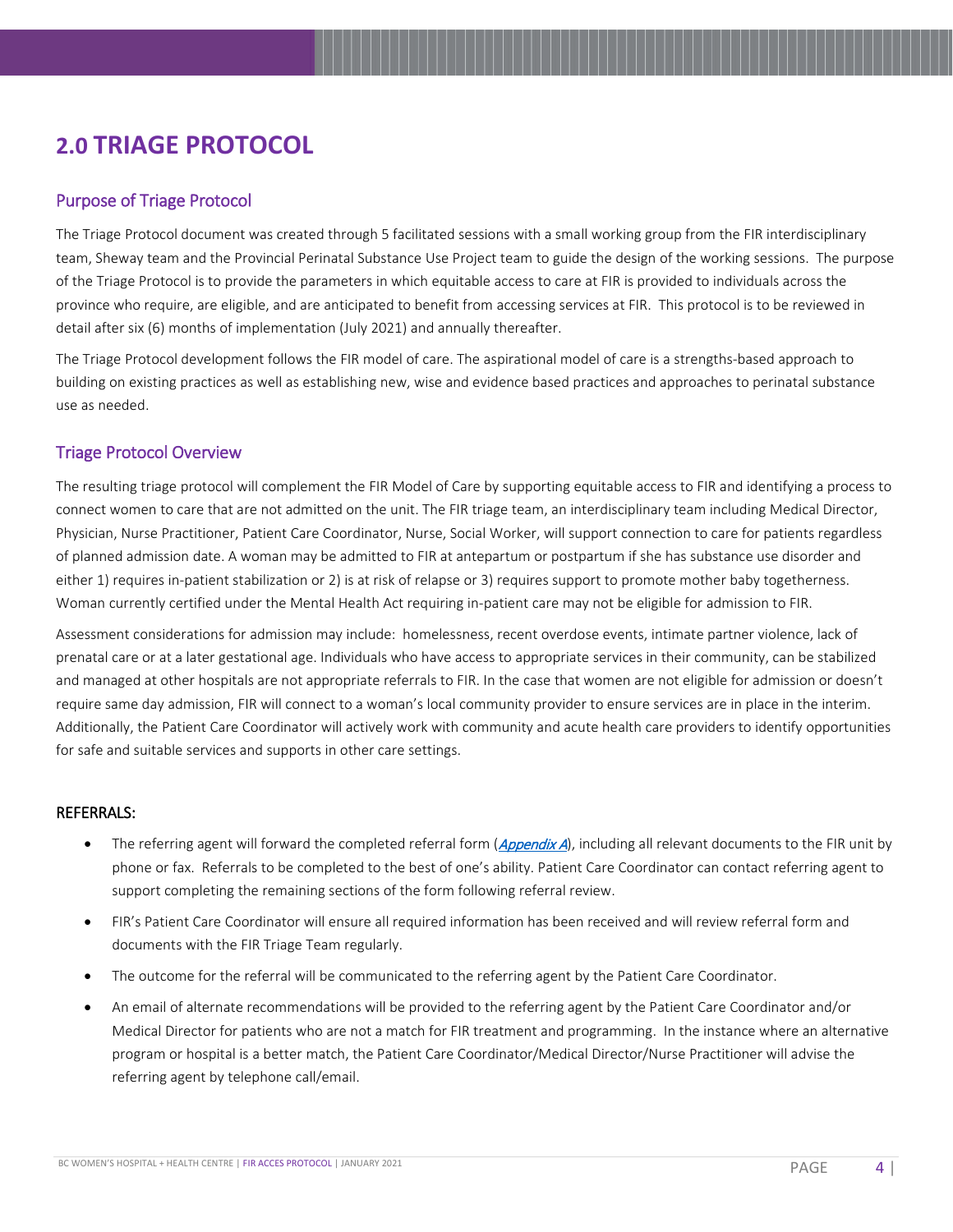# <span id="page-4-0"></span>**2.0 TRIAGE PROTOCOL**

#### <span id="page-4-1"></span>Purpose of Triage Protocol

The Triage Protocol document was created through 5 facilitated sessions with a small working group from the FIR interdisciplinary team, Sheway team and the Provincial Perinatal Substance Use Project team to guide the design of the working sessions. The purpose of the Triage Protocol is to provide the parameters in which equitable access to care at FIR is provided to individuals across the province who require, are eligible, and are anticipated to benefit from accessing services at FIR. This protocol is to be reviewed in detail after six (6) months of implementation (July 2021) and annually thereafter.

The Triage Protocol development follows the FIR model of care. The aspirational model of care is a strengths-based approach to building on existing practices as well as establishing new, wise and evidence based practices and approaches to perinatal substance use as needed.

#### <span id="page-4-2"></span>Triage Protocol Overview

The resulting triage protocol will complement the FIR Model of Care by supporting equitable access to FIR and identifying a process to connect women to care that are not admitted on the unit. The FIR triage team, an interdisciplinary team including Medical Director, Physician, Nurse Practitioner, Patient Care Coordinator, Nurse, Social Worker, will support connection to care for patients regardless of planned admission date. A woman may be admitted to FIR at antepartum or postpartum if she has substance use disorder and either 1) requires in-patient stabilization or 2) is at risk of relapse or 3) requires support to promote mother baby togetherness. Woman currently certified under the Mental Health Act requiring in-patient care may not be eligible for admission to FIR.

Assessment considerations for admission may include: homelessness, recent overdose events, intimate partner violence, lack of prenatal care or at a later gestational age. Individuals who have access to appropriate services in their community, can be stabilized and managed at other hospitals are not appropriate referrals to FIR. In the case that women are not eligible for admission or doesn't require same day admission, FIR will connect to a woman's local community provider to ensure services are in place in the interim. Additionally, the Patient Care Coordinator will actively work with community and acute health care providers to identify opportunities for safe and suitable services and supports in other care settings.

#### REFERRALS:

- The referring agent will forward the completed referral form ([Appendix A](#page-11-1)), including all relevant documents to the FIR unit by phone or fax. Referrals to be completed to the best of one's ability. Patient Care Coordinator can contact referring agent to support completing the remaining sections of the form following referral review.
- FIR's Patient Care Coordinator will ensure all required information has been received and will review referral form and documents with the FIR Triage Team regularly.
- The outcome for the referral will be communicated to the referring agent by the Patient Care Coordinator.
- An email of alternate recommendations will be provided to the referring agent by the Patient Care Coordinator and/or Medical Director for patients who are not a match for FIR treatment and programming. In the instance where an alternative program or hospital is a better match, the Patient Care Coordinator/Medical Director/Nurse Practitioner will advise the referring agent by telephone call/email.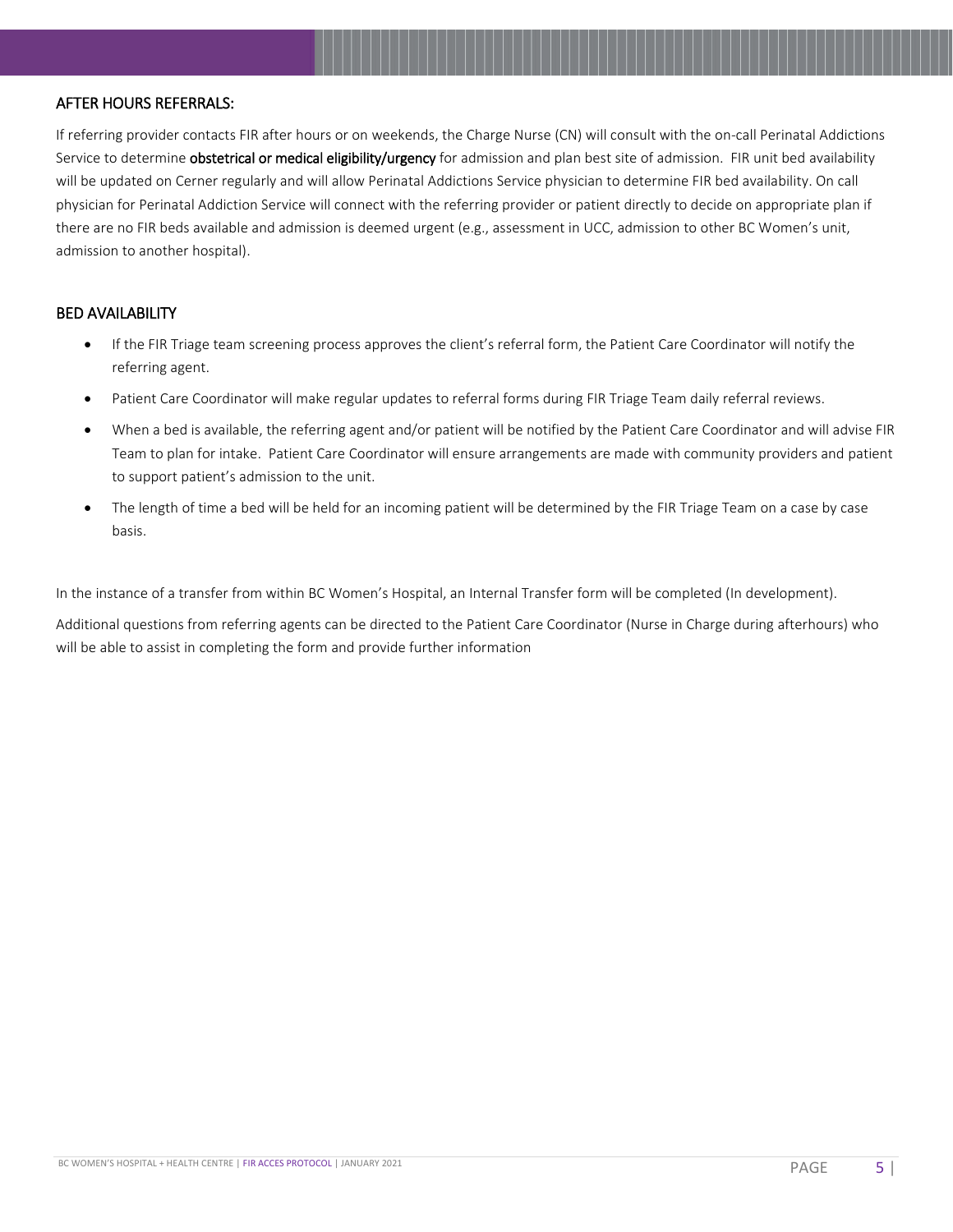#### AFTER HOURS REFERRALS:

If referring provider contacts FIR after hours or on weekends, the Charge Nurse (CN) will consult with the on-call Perinatal Addictions Service to determine obstetrical or medical eligibility/urgency for admission and plan best site of admission. FIR unit bed availability will be updated on Cerner regularly and will allow Perinatal Addictions Service physician to determine FIR bed availability. On call physician for Perinatal Addiction Service will connect with the referring provider or patient directly to decide on appropriate plan if there are no FIR beds available and admission is deemed urgent (e.g., assessment in UCC, admission to other BC Women's unit, admission to another hospital).

#### BED AVAILABILITY

- If the FIR Triage team screening process approves the client's referral form, the Patient Care Coordinator will notify the referring agent.
- Patient Care Coordinator will make regular updates to referral forms during FIR Triage Team daily referral reviews.
- When a bed is available, the referring agent and/or patient will be notified by the Patient Care Coordinator and will advise FIR Team to plan for intake. Patient Care Coordinator will ensure arrangements are made with community providers and patient to support patient's admission to the unit.
- The length of time a bed will be held for an incoming patient will be determined by the FIR Triage Team on a case by case basis.

In the instance of a transfer from within BC Women's Hospital, an Internal Transfer form will be completed (In development).

Additional questions from referring agents can be directed to the Patient Care Coordinator (Nurse in Charge during afterhours) who will be able to assist in completing the form and provide further information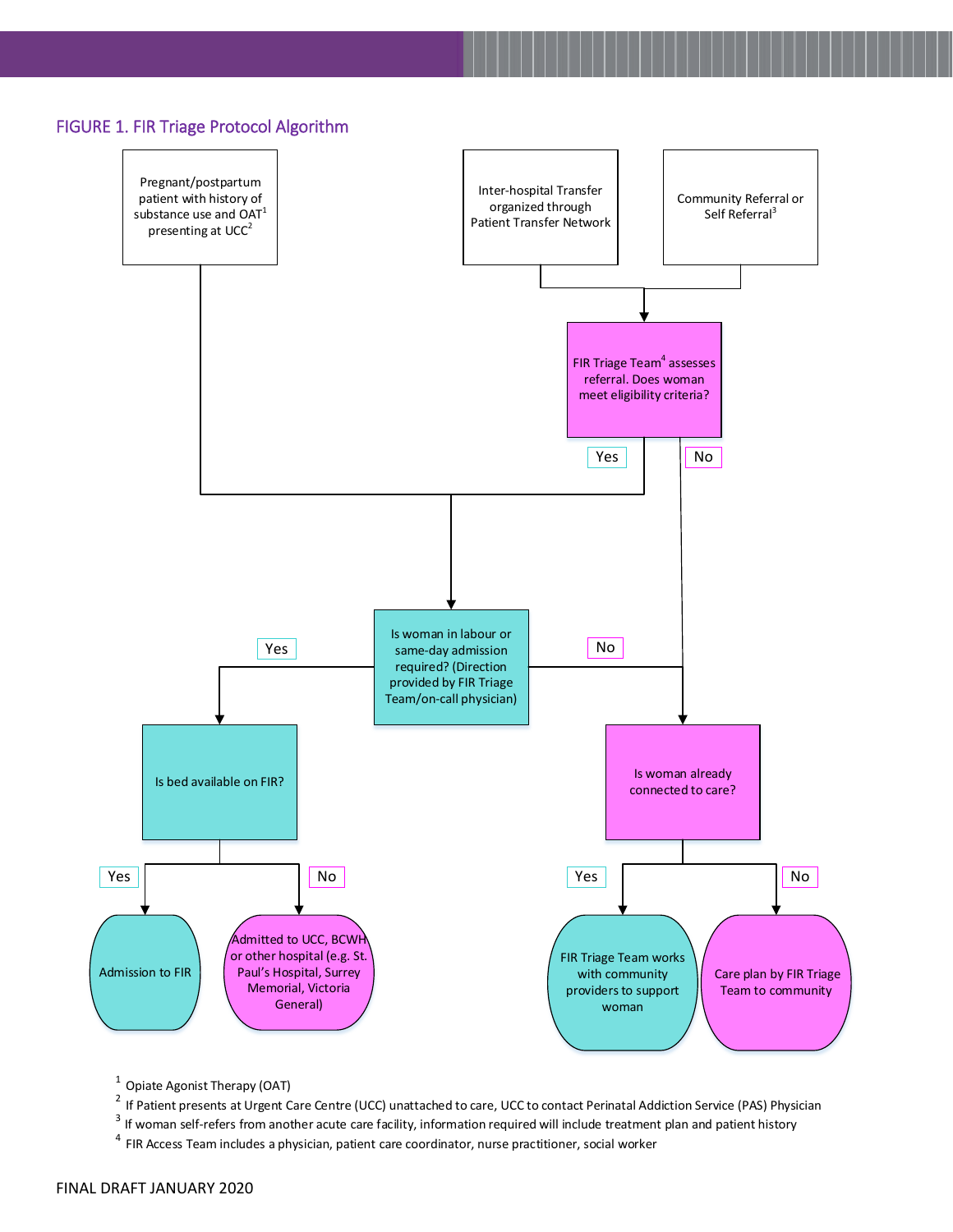



<sup>1</sup> Opiate Agonist Therapy (OAT)<br><sup>2</sup> If Patient presents at Urgent Care Centre (UCC) unattached to care, UCC to contact Perinatal Addiction Service (PAS) Physician<br><sup>3</sup> If woman self-refers from another acute care facility

4 FIR Access Team includes a physician, patient care coordinator, nurse practitioner, social worker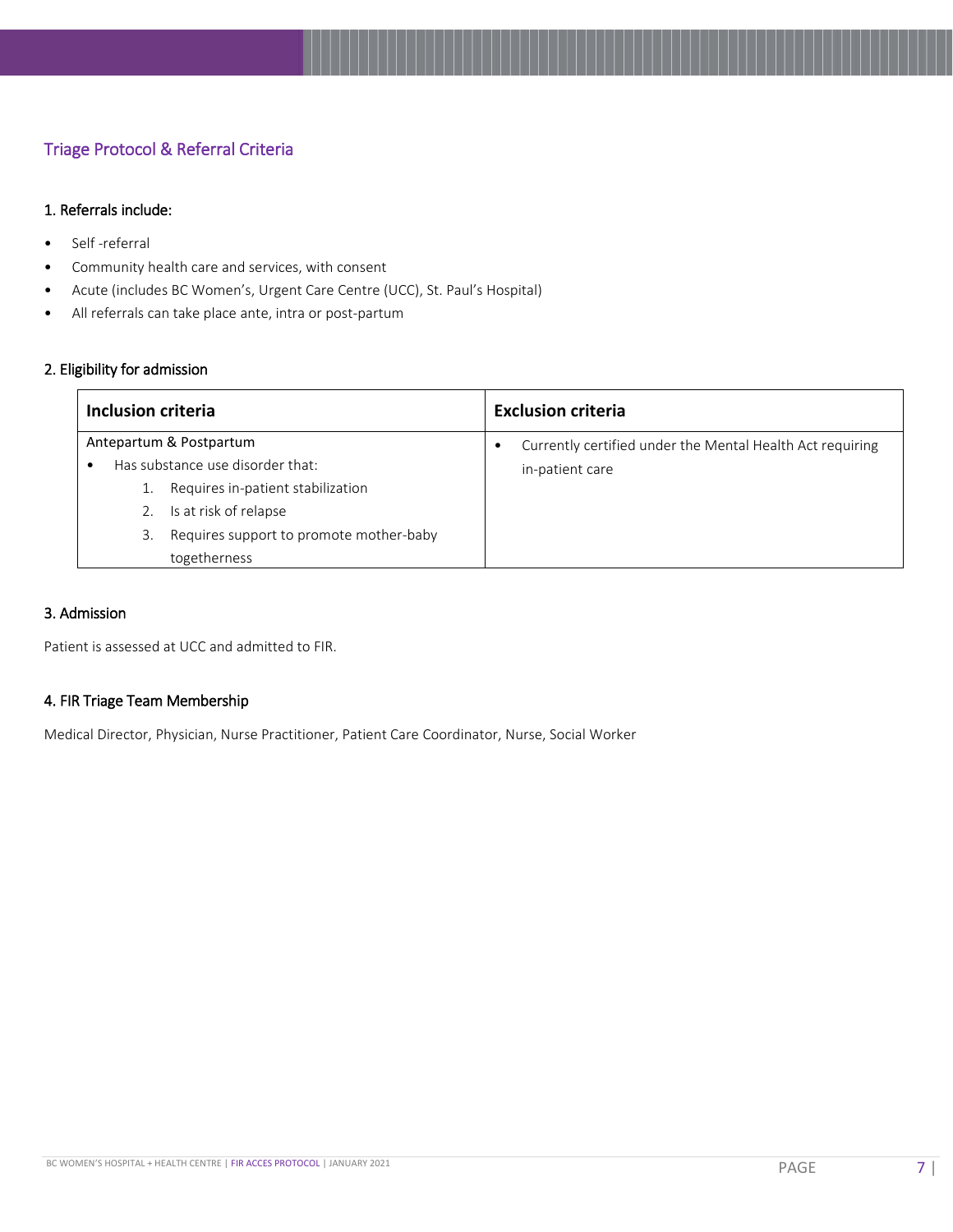#### <span id="page-7-0"></span>Triage Protocol & Referral Criteria

#### 1. Referrals include:

- Self -referral
- Community health care and services, with consent
- Acute (includes BC Women's, Urgent Care Centre (UCC), St. Paul's Hospital)
- All referrals can take place ante, intra or post-partum

#### 2. Eligibility for admission

| <b>Inclusion criteria</b>                     | <b>Exclusion criteria</b>                                 |
|-----------------------------------------------|-----------------------------------------------------------|
| Antepartum & Postpartum                       | Currently certified under the Mental Health Act requiring |
| Has substance use disorder that:              | in-patient care                                           |
| Requires in-patient stabilization             |                                                           |
| Is at risk of relapse                         |                                                           |
| Requires support to promote mother-baby<br>3. |                                                           |
| togetherness                                  |                                                           |

#### 3. Admission

Patient is assessed at UCC and admitted to FIR.

#### 4. FIR Triage Team Membership

<span id="page-7-1"></span>Medical Director, Physician, Nurse Practitioner, Patient Care Coordinator, Nurse, Social Worker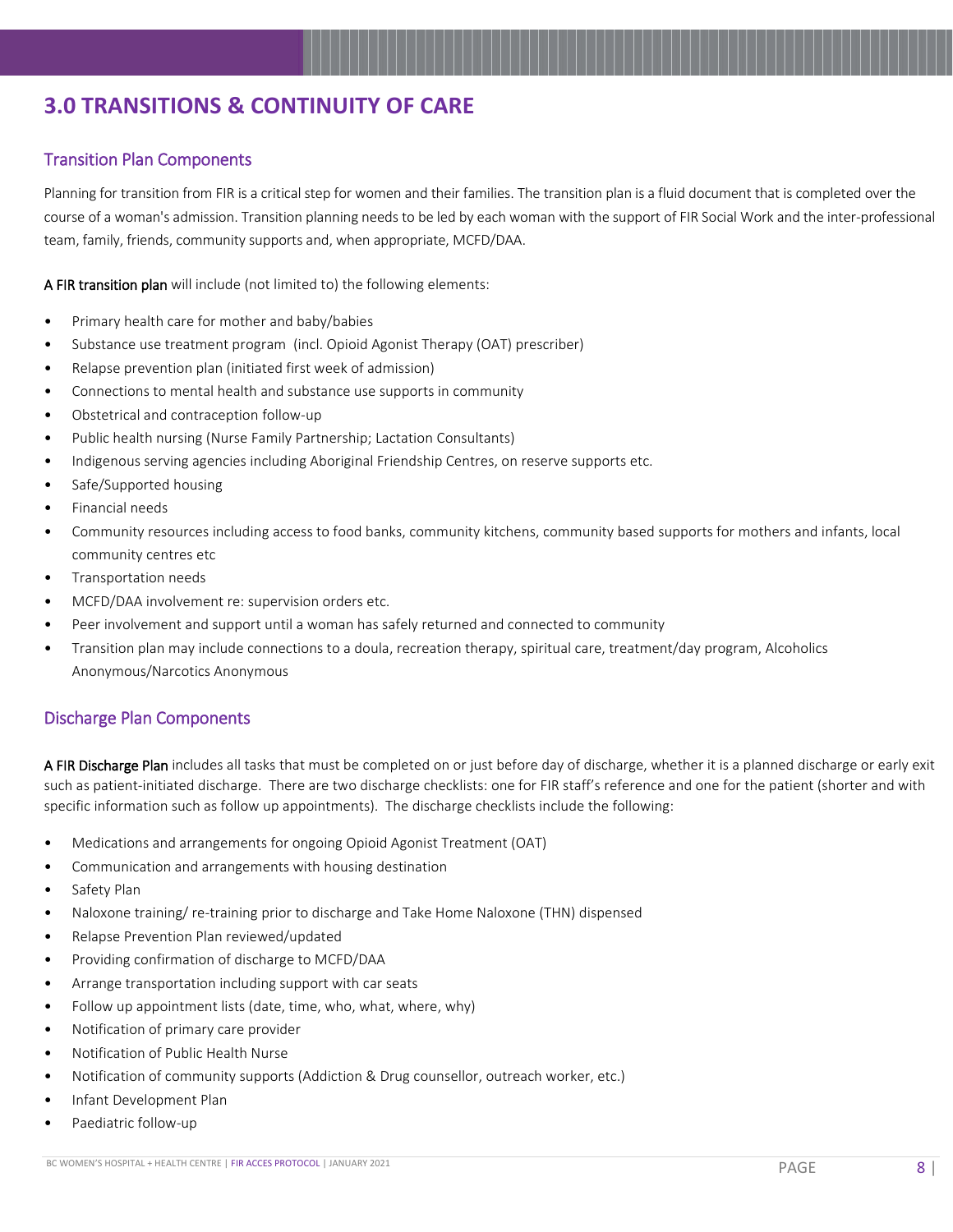# **3.0 TRANSITIONS & CONTINUITY OF CARE**

#### <span id="page-8-0"></span>Transition Plan Components

Planning for transition from FIR is a critical step for women and their families. The transition plan is a fluid document that is completed over the course of a woman's admission. Transition planning needs to be led by each woman with the support of FIR Social Work and the inter-professional team, family, friends, community supports and, when appropriate, MCFD/DAA.

A FIR transition plan will include (not limited to) the following elements:

- Primary health care for mother and baby/babies
- Substance use treatment program (incl. Opioid Agonist Therapy (OAT) prescriber)
- Relapse prevention plan (initiated first week of admission)
- Connections to mental health and substance use supports in community
- Obstetrical and contraception follow-up
- Public health nursing (Nurse Family Partnership; Lactation Consultants)
- Indigenous serving agencies including Aboriginal Friendship Centres, on reserve supports etc.
- Safe/Supported housing
- Financial needs
- Community resources including access to food banks, community kitchens, community based supports for mothers and infants, local community centres etc
- Transportation needs
- MCFD/DAA involvement re: supervision orders etc.
- Peer involvement and support until a woman has safely returned and connected to community
- Transition plan may include connections to a doula, recreation therapy, spiritual care, treatment/day program, Alcoholics Anonymous/Narcotics Anonymous

#### <span id="page-8-1"></span>Discharge Plan Components

A FIR Discharge Plan includes all tasks that must be completed on or just before day of discharge, whether it is a planned discharge or early exit such as patient-initiated discharge. There are two discharge checklists: one for FIR staff's reference and one for the patient (shorter and with specific information such as follow up appointments). The discharge checklists include the following:

- Medications and arrangements for ongoing Opioid Agonist Treatment (OAT)
- Communication and arrangements with housing destination
- Safety Plan
- Naloxone training/ re-training prior to discharge and Take Home Naloxone (THN) dispensed
- Relapse Prevention Plan reviewed/updated
- Providing confirmation of discharge to MCFD/DAA
- Arrange transportation including support with car seats
- Follow up appointment lists (date, time, who, what, where, why)
- Notification of primary care provider
- Notification of Public Health Nurse
- Notification of community supports (Addiction & Drug counsellor, outreach worker, etc.)
- Infant Development Plan
- Paediatric follow-up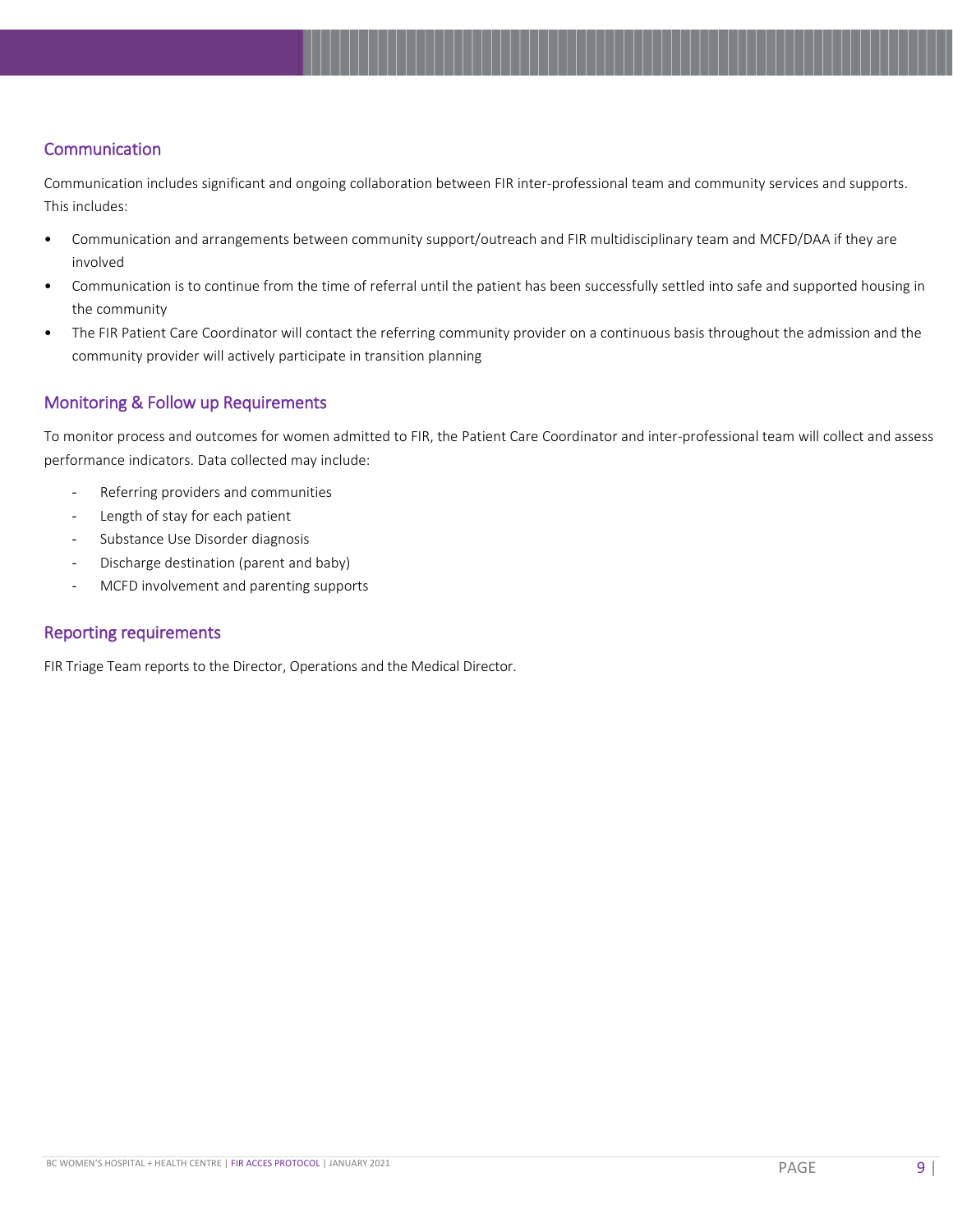#### <span id="page-9-0"></span>**Communication**

Communication includes significant and ongoing collaboration between FIR inter-professional team and community services and supports. This includes:

- Communication and arrangements between community support/outreach and FIR multidisciplinary team and MCFD/DAA if they are involved
- Communication is to continue from the time of referral until the patient has been successfully settled into safe and supported housing in the community
- The FIR Patient Care Coordinator will contact the referring community provider on a continuous basis throughout the admission and the community provider will actively participate in transition planning

#### <span id="page-9-1"></span>Monitoring & Follow up Requirements

To monitor process and outcomes for women admitted to FIR, the Patient Care Coordinator and inter-professional team will collect and assess performance indicators. Data collected may include:

- Referring providers and communities
- Length of stay for each patient
- Substance Use Disorder diagnosis
- Discharge destination (parent and baby)
- MCFD involvement and parenting supports

#### <span id="page-9-2"></span>Reporting requirements

FIR Triage Team reports to the Director, Operations and the Medical Director.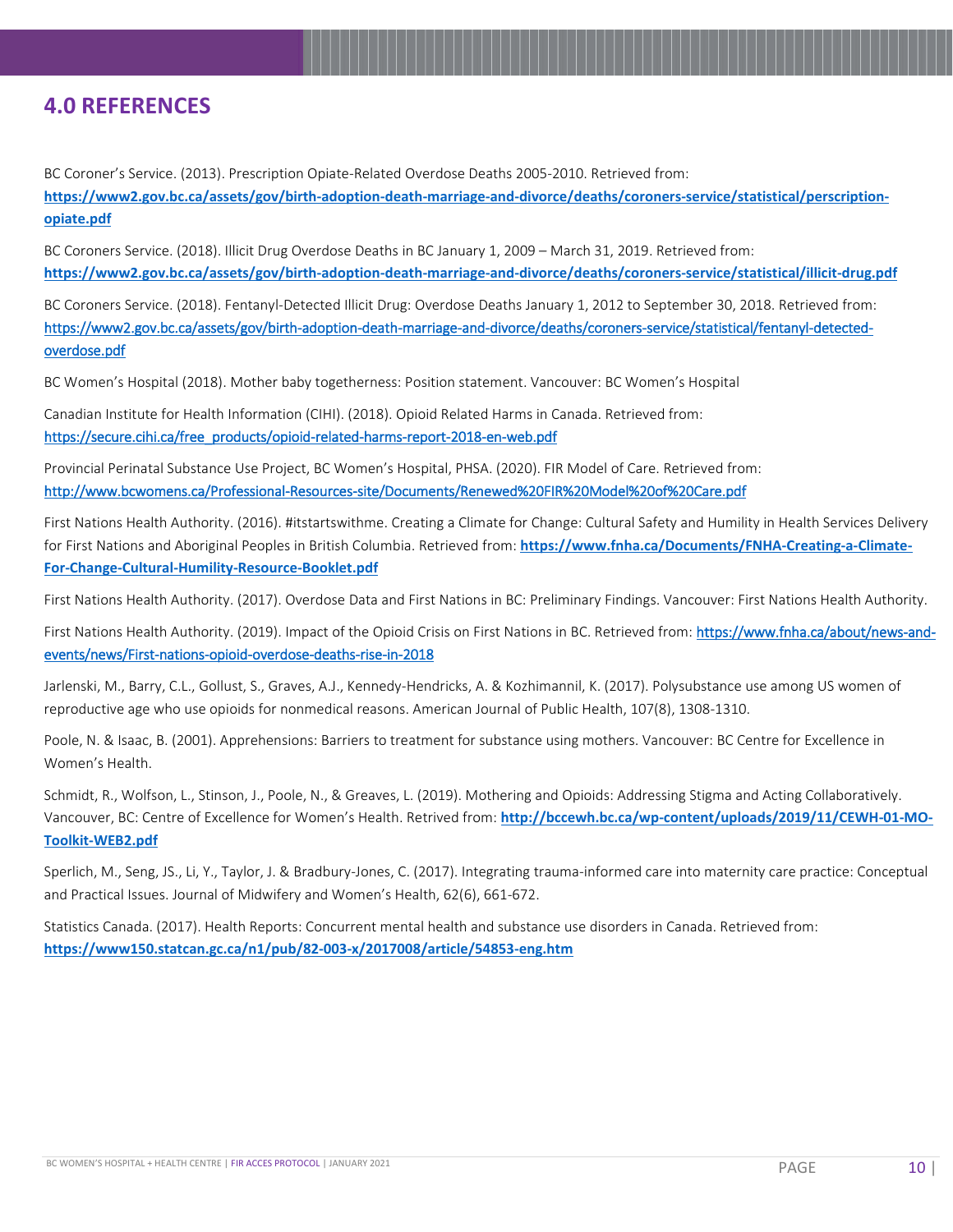## <span id="page-10-0"></span>**4.0 REFERENCES**

BC Coroner's Service. (2013). Prescription Opiate-Related Overdose Deaths 2005-2010. Retrieved from: **[https://www2.gov.bc.ca/assets/gov/birth-adoption-death-marriage-and-divorce/deaths/coroners-service/statistical/perscription](https://www2.gov.bc.ca/assets/gov/birth-adoption-death-marriage-and-divorce/deaths/coroners-service/statistical/perscription-opiate.pdf)[opiate.pdf](https://www2.gov.bc.ca/assets/gov/birth-adoption-death-marriage-and-divorce/deaths/coroners-service/statistical/perscription-opiate.pdf)**

BC Coroners Service. (2018). Illicit Drug Overdose Deaths in BC January 1, 2009 – March 31, 2019. Retrieved from: **<https://www2.gov.bc.ca/assets/gov/birth-adoption-death-marriage-and-divorce/deaths/coroners-service/statistical/illicit-drug.pdf>**

BC Coroners Service. (2018). Fentanyl-Detected Illicit Drug: Overdose Deaths January 1, 2012 to September 30, 2018. Retrieved from: [https://www2.gov.bc.ca/assets/gov/birth-adoption-death-marriage-and-divorce/deaths/coroners-service/statistical/fentanyl-detected](https://www2.gov.bc.ca/assets/gov/birth-adoption-death-marriage-and-divorce/deaths/coroners-service/statistical/fentanyl-detected-overdose.pdf)[overdose.pdf](https://www2.gov.bc.ca/assets/gov/birth-adoption-death-marriage-and-divorce/deaths/coroners-service/statistical/fentanyl-detected-overdose.pdf)

BC Women's Hospital (2018). Mother baby togetherness: Position statement. Vancouver: BC Women's Hospital

Canadian Institute for Health Information (CIHI). (2018). Opioid Related Harms in Canada. Retrieved from: [https://secure.cihi.ca/free\\_products/opioid-related-harms-report-2018-en-web.pdf](https://secure.cihi.ca/free_products/opioid-related-harms-report-2018-en-web.pdf)

Provincial Perinatal Substance Use Project, BC Women's Hospital, PHSA. (2020). FIR Model of Care. Retrieved from: [http://www.bcwomens.ca/Professional-Resources-](http://www.bcwomens.ca/Professional-Resources-site/Documents/Renewed%20FIR%20Model%20of%20Care.pdf)site/Documents/Renewed%20FIR%20Model%20of%20Care.pdf

First Nations Health Authority. (2016). #itstartswithme. Creating a Climate for Change: Cultural Safety and Humility in Health Services Delivery for First Nations and Aboriginal Peoples in British Columbia. Retrieved from: **[https://www.fnha.ca/Documents/FNHA-Creating-a-Climate-](https://www.fnha.ca/Documents/FNHA-Creating-a-Climate-For-Change-Cultural-Humility-Resource-Booklet.pdf)[For-Change-Cultural-Humility-Resource-Booklet.pdf](https://www.fnha.ca/Documents/FNHA-Creating-a-Climate-For-Change-Cultural-Humility-Resource-Booklet.pdf)**

First Nations Health Authority. (2017). Overdose Data and First Nations in BC: Preliminary Findings. Vancouver: First Nations Health Authority.

First Nations Health Authority. (2019). Impact of the Opioid Crisis on First Nations in BC. Retrieved from[: https://www.fnha.ca/about/news-and](https://www.fnha.ca/about/news-and-events/news/first-nations-opioid-overdose-deaths-rise-in-2018)[events/news/First-nations-opioid-overdose-deaths-rise-in-2018](https://www.fnha.ca/about/news-and-events/news/first-nations-opioid-overdose-deaths-rise-in-2018)

Jarlenski, M., Barry, C.L., Gollust, S., Graves, A.J., Kennedy-Hendricks, A. & Kozhimannil, K. (2017). Polysubstance use among US women of reproductive age who use opioids for nonmedical reasons. American Journal of Public Health, 107(8), 1308-1310.

Poole, N. & Isaac, B. (2001). Apprehensions: Barriers to treatment for substance using mothers. Vancouver: BC Centre for Excellence in Women's Health.

Schmidt, R., Wolfson, L., Stinson, J., Poole, N., & Greaves, L. (2019). Mothering and Opioids: Addressing Stigma and Acting Collaboratively. Vancouver, BC: Centre of Excellence for Women's Health. Retrived from: **[http://bccewh.bc.ca/wp-content/uploads/2019/11/CEWH-01-MO-](http://bccewh.bc.ca/wp-content/uploads/2019/11/CEWH-01-MO-Toolkit-WEB2.pdf)[Toolkit-WEB2.pdf](http://bccewh.bc.ca/wp-content/uploads/2019/11/CEWH-01-MO-Toolkit-WEB2.pdf)**

Sperlich, M., Seng, JS., Li, Y., Taylor, J. & Bradbury-Jones, C. (2017). Integrating trauma-informed care into maternity care practice: Conceptual and Practical Issues. Journal of Midwifery and Women's Health, 62(6), 661-672.

Statistics Canada. (2017). Health Reports: Concurrent mental health and substance use disorders in Canada. Retrieved from: **<https://www150.statcan.gc.ca/n1/pub/82-003-x/2017008/article/54853-eng.htm>**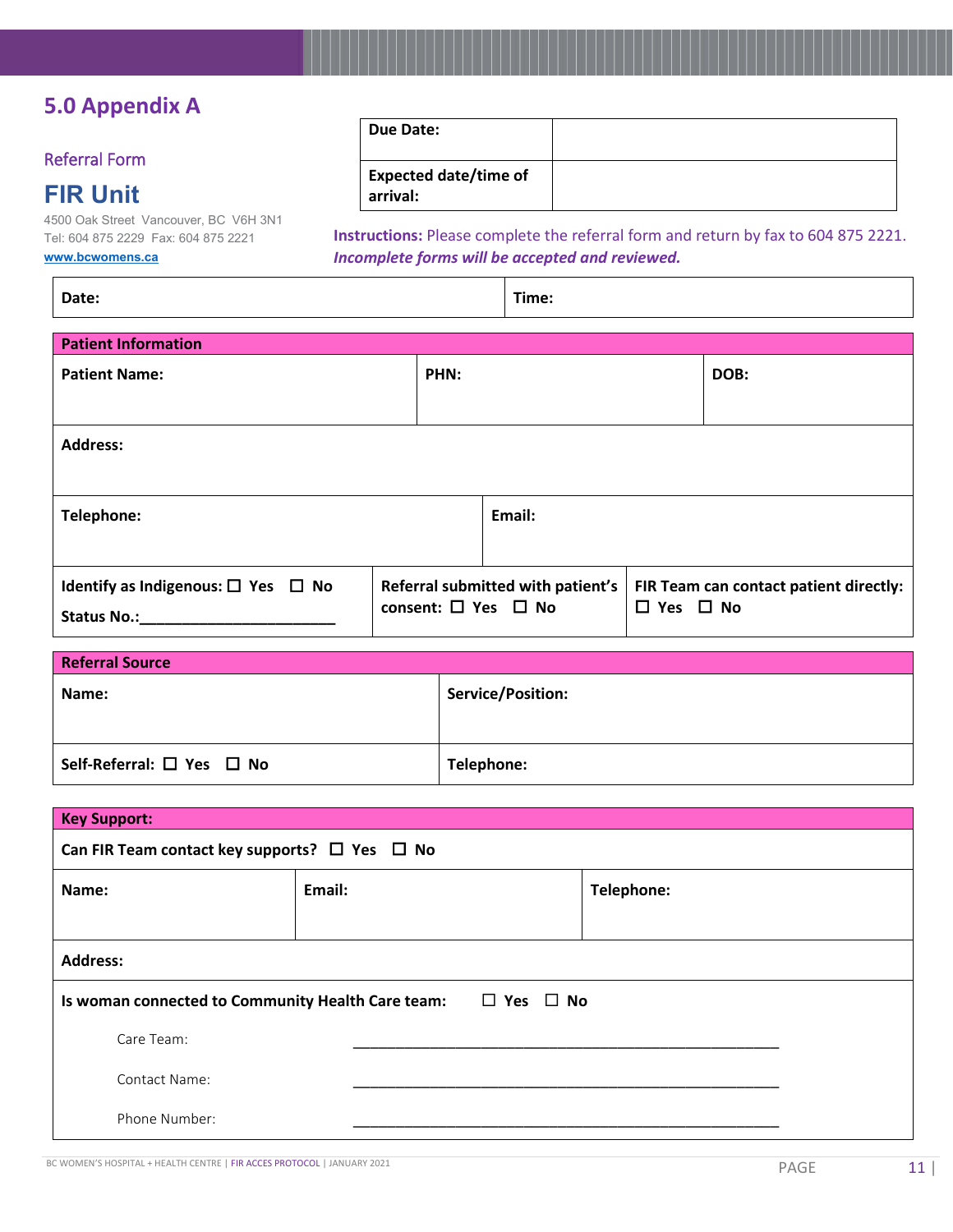# <span id="page-11-0"></span>**5.0 Appendix A**

#### <span id="page-11-1"></span>Referral Form

# **FIR Unit**

4500 Oak Street Vancouver, BC V6H 3N1 Tel: 604 875 2229 Fax: 604 875 2221 <u>ca</u>

**Due Date:**

**Expected date/time of arrival:**

**Instructions:** Please complete the referral form and return by fax to 604 875 2221. *Incomplete forms will be accepted and reviewed.*

|  | www.bcwomens.o |
|--|----------------|
|  |                |

**Date: Time: Patient Information Patient Name: PHN: DOB: Address: Telephone: Email: Identify as Indigenous:** □ Yes □ No Status No.: **Referral submitted with patient's consent:** □ Yes □ No **FIR Team can contact patient directly: Yes No**

| <b>Referral Source</b>                    |                   |  |
|-------------------------------------------|-------------------|--|
| Name:                                     | Service/Position: |  |
| Self-Referral: $\square$ Yes $\square$ No | Telephone:        |  |

| <b>Key Support:</b>                                                             |        |            |  |
|---------------------------------------------------------------------------------|--------|------------|--|
| Can FIR Team contact key supports? $\Box$ Yes $\Box$ No                         |        |            |  |
| Name:                                                                           | Email: | Telephone: |  |
|                                                                                 |        |            |  |
| <b>Address:</b>                                                                 |        |            |  |
| $\square$ Yes $\square$ No<br>Is woman connected to Community Health Care team: |        |            |  |
| Care Team:                                                                      |        |            |  |
| <b>Contact Name:</b>                                                            |        |            |  |
| Phone Number:                                                                   |        |            |  |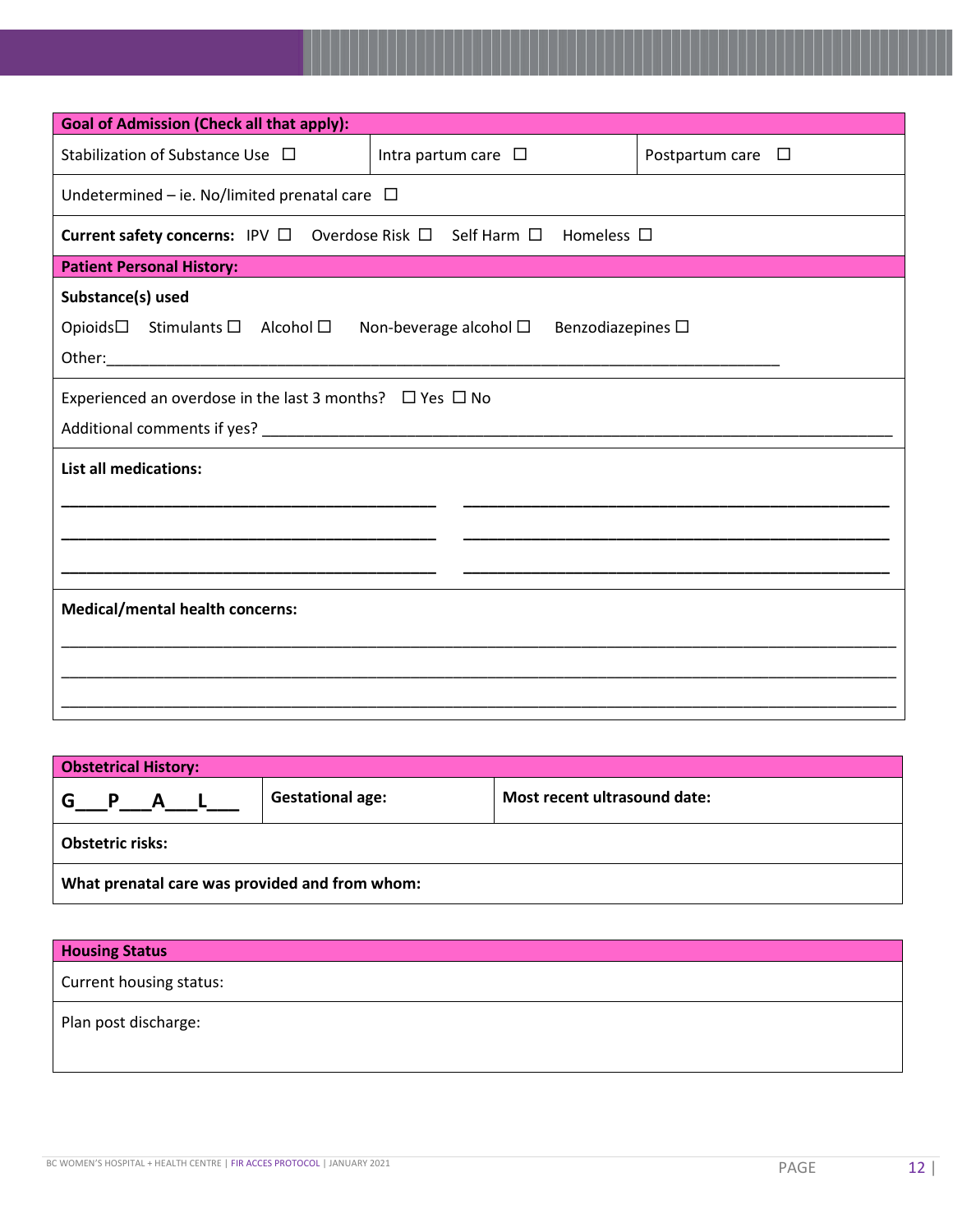| <b>Goal of Admission (Check all that apply):</b>                                                             |                           |                           |  |
|--------------------------------------------------------------------------------------------------------------|---------------------------|---------------------------|--|
| Stabilization of Substance Use □                                                                             | Intra partum care $\Box$  | Postpartum care $\square$ |  |
| Undetermined – ie. No/limited prenatal care $\Box$                                                           |                           |                           |  |
| Current safety concerns: IPV □ Overdose Risk □ Self Harm □ Homeless □                                        |                           |                           |  |
| <b>Patient Personal History:</b>                                                                             |                           |                           |  |
| Substance(s) used<br>Opioids $\square$ Stimulants $\square$ Alcohol $\square$ Non-beverage alcohol $\square$ | Benzodiazepines $\square$ |                           |  |
| Experienced an overdose in the last 3 months? $\Box$ Yes $\Box$ No                                           |                           |                           |  |
| <b>List all medications:</b>                                                                                 |                           |                           |  |
| <b>Medical/mental health concerns:</b>                                                                       |                           |                           |  |

| <b>Obstetrical History:</b>                    |                         |                              |
|------------------------------------------------|-------------------------|------------------------------|
| G<br>P A L                                     | <b>Gestational age:</b> | Most recent ultrasound date: |
| <b>Obstetric risks:</b>                        |                         |                              |
| What prenatal care was provided and from whom: |                         |                              |

| <b>Housing Status</b>   |  |
|-------------------------|--|
| Current housing status: |  |
| Plan post discharge:    |  |
|                         |  |